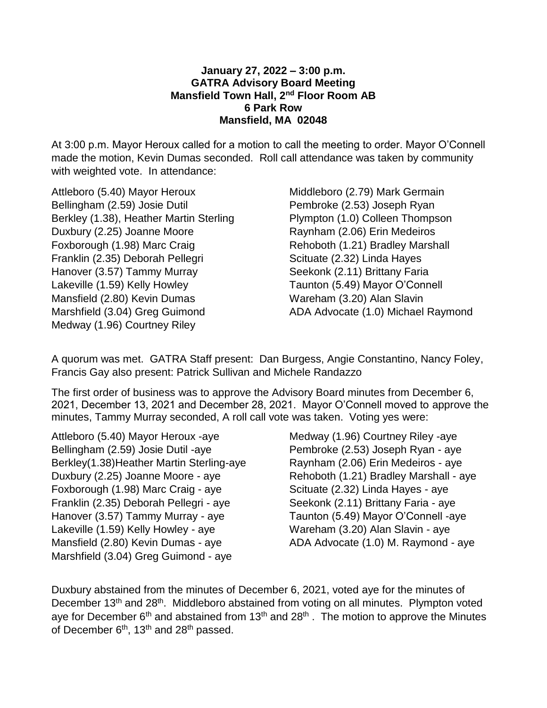## **January 27, 2022 – 3:00 p.m. GATRA Advisory Board Meeting Mansfield Town Hall, 2nd Floor Room AB 6 Park Row Mansfield, MA 02048**

At 3:00 p.m. Mayor Heroux called for a motion to call the meeting to order. Mayor O'Connell made the motion, Kevin Dumas seconded. Roll call attendance was taken by community with weighted vote. In attendance:

Attleboro (5.40) Mayor Heroux Bellingham (2.59) Josie Dutil Berkley (1.38), Heather Martin Sterling Duxbury (2.25) Joanne Moore Foxborough (1.98) Marc Craig Franklin (2.35) Deborah Pellegri Hanover (3.57) Tammy Murray Lakeville (1.59) Kelly Howley Mansfield (2.80) Kevin Dumas Marshfield (3.04) Greg Guimond Medway (1.96) Courtney Riley

Middleboro (2.79) Mark Germain Pembroke (2.53) Joseph Ryan Plympton (1.0) Colleen Thompson Raynham (2.06) Erin Medeiros Rehoboth (1.21) Bradley Marshall Scituate (2.32) Linda Hayes Seekonk (2.11) Brittany Faria Taunton (5.49) Mayor O'Connell Wareham (3.20) Alan Slavin ADA Advocate (1.0) Michael Raymond

A quorum was met. GATRA Staff present: Dan Burgess, Angie Constantino, Nancy Foley, Francis Gay also present: Patrick Sullivan and Michele Randazzo

The first order of business was to approve the Advisory Board minutes from December 6, 2021, December 13, 2021 and December 28, 2021. Mayor O'Connell moved to approve the minutes, Tammy Murray seconded, A roll call vote was taken. Voting yes were:

Attleboro (5.40) Mayor Heroux -aye Bellingham (2.59) Josie Dutil -aye Berkley(1.38)Heather Martin Sterling-aye Duxbury (2.25) Joanne Moore - aye Foxborough (1.98) Marc Craig - aye Franklin (2.35) Deborah Pellegri - aye Hanover (3.57) Tammy Murray - aye Lakeville (1.59) Kelly Howley - aye Mansfield (2.80) Kevin Dumas - aye Marshfield (3.04) Greg Guimond - aye

Medway (1.96) Courtney Riley -aye Pembroke (2.53) Joseph Ryan - aye Raynham (2.06) Erin Medeiros - aye Rehoboth (1.21) Bradley Marshall - aye Scituate (2.32) Linda Hayes - aye Seekonk (2.11) Brittany Faria - aye Taunton (5.49) Mayor O'Connell -aye Wareham (3.20) Alan Slavin - aye ADA Advocate (1.0) M. Raymond - aye

Duxbury abstained from the minutes of December 6, 2021, voted aye for the minutes of December 13<sup>th</sup> and 28<sup>th</sup>. Middleboro abstained from voting on all minutes. Plympton voted aye for December  $6<sup>th</sup>$  and abstained from 13<sup>th</sup> and 28<sup>th</sup>. The motion to approve the Minutes of December  $6<sup>th</sup>$ , 13<sup>th</sup> and 28<sup>th</sup> passed.